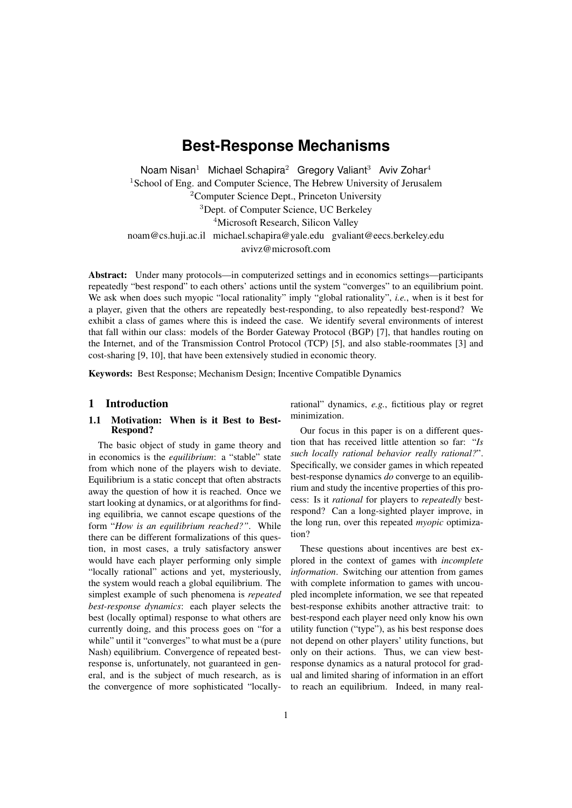# **Best-Response Mechanisms**

Noam Nisan<sup>1</sup> Michael Schapira<sup>2</sup> Gregory Valiant<sup>3</sup> Aviv Zohar<sup>4</sup> <sup>1</sup>School of Eng. and Computer Science, The Hebrew University of Jerusalem <sup>2</sup>Computer Science Dept., Princeton University <sup>3</sup>Dept. of Computer Science, UC Berkeley <sup>4</sup>Microsoft Research, Silicon Valley noam@cs.huji.ac.il michael.schapira@yale.edu gvaliant@eecs.berkeley.edu avivz@microsoft.com

Abstract: Under many protocols—in computerized settings and in economics settings—participants repeatedly "best respond" to each others' actions until the system "converges" to an equilibrium point. We ask when does such myopic "local rationality" imply "global rationality", *i.e.*, when is it best for a player, given that the others are repeatedly best-responding, to also repeatedly best-respond? We exhibit a class of games where this is indeed the case. We identify several environments of interest that fall within our class: models of the Border Gateway Protocol (BGP) [7], that handles routing on the Internet, and of the Transmission Control Protocol (TCP) [5], and also stable-roommates [3] and cost-sharing [9, 10], that have been extensively studied in economic theory.

Keywords: Best Response; Mechanism Design; Incentive Compatible Dynamics

# 1 Introduction

## 1.1 Motivation: When is it Best to Best-Respond?

The basic object of study in game theory and in economics is the *equilibrium*: a "stable" state from which none of the players wish to deviate. Equilibrium is a static concept that often abstracts away the question of how it is reached. Once we start looking at dynamics, or at algorithms for finding equilibria, we cannot escape questions of the form "*How is an equilibrium reached?"*. While there can be different formalizations of this question, in most cases, a truly satisfactory answer would have each player performing only simple "locally rational" actions and yet, mysteriously, the system would reach a global equilibrium. The simplest example of such phenomena is *repeated best-response dynamics*: each player selects the best (locally optimal) response to what others are currently doing, and this process goes on "for a while" until it "converges" to what must be a (pure Nash) equilibrium. Convergence of repeated bestresponse is, unfortunately, not guaranteed in general, and is the subject of much research, as is the convergence of more sophisticated "locallyrational" dynamics, *e.g.*, fictitious play or regret minimization.

Our focus in this paper is on a different question that has received little attention so far: "*Is such locally rational behavior really rational?*". Specifically, we consider games in which repeated best-response dynamics *do* converge to an equilibrium and study the incentive properties of this process: Is it *rational* for players to *repeatedly* bestrespond? Can a long-sighted player improve, in the long run, over this repeated *myopic* optimization?

These questions about incentives are best explored in the context of games with *incomplete information*. Switching our attention from games with complete information to games with uncoupled incomplete information, we see that repeated best-response exhibits another attractive trait: to best-respond each player need only know his own utility function ("type"), as his best response does not depend on other players' utility functions, but only on their actions. Thus, we can view bestresponse dynamics as a natural protocol for gradual and limited sharing of information in an effort to reach an equilibrium. Indeed, in many real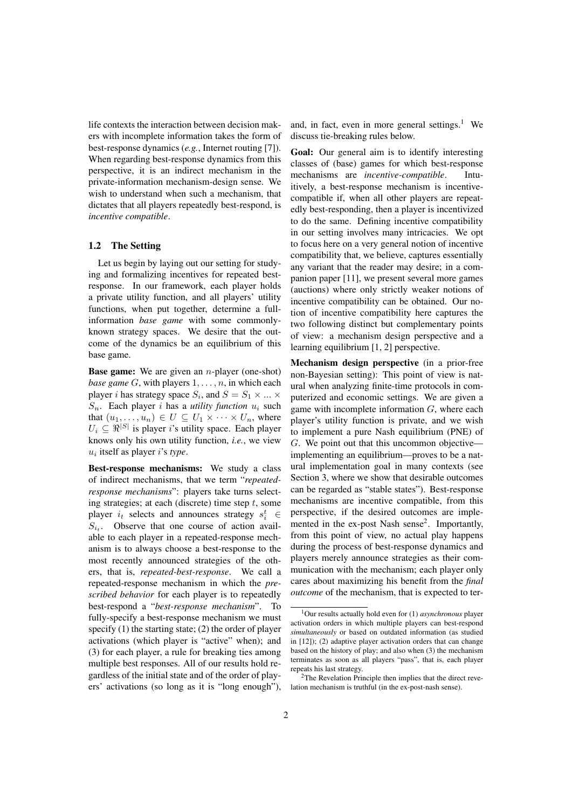life contexts the interaction between decision makers with incomplete information takes the form of best-response dynamics (*e.g.*, Internet routing [7]). When regarding best-response dynamics from this perspective, it is an indirect mechanism in the private-information mechanism-design sense. We wish to understand when such a mechanism, that dictates that all players repeatedly best-respond, is *incentive compatible*.

# 1.2 The Setting

Let us begin by laying out our setting for studying and formalizing incentives for repeated bestresponse. In our framework, each player holds a private utility function, and all players' utility functions, when put together, determine a fullinformation *base game* with some commonlyknown strategy spaces. We desire that the outcome of the dynamics be an equilibrium of this base game.

Base game: We are given an *n*-player (one-shot) *base game G*, with players 1*, . . . , n*, in which each player *i* has strategy space  $S_i$ , and  $S = S_1 \times ... \times$  $S_n$ . Each player *i* has a *utility function*  $u_i$  such that  $(u_1, \ldots, u_n) \in U \subseteq U_1 \times \cdots \times U_n$ , where  $U_i \subseteq \Re^{|S|}$  is player *i*'s utility space. Each player knows only his own utility function, *i.e.*, we view *ui* itself as player *i*'s *type*.

Best-response mechanisms: We study a class of indirect mechanisms, that we term "*repeatedresponse mechanisms*": players take turns selecting strategies; at each (discrete) time step *t*, some player  $i_t$  selects and announces strategy  $s_i^t \in$  $S_{i_t}$ . Observe that one course of action available to each player in a repeated-response mechanism is to always choose a best-response to the most recently announced strategies of the others, that is, *repeated-best-response*. We call a repeated-response mechanism in which the *prescribed behavior* for each player is to repeatedly best-respond a "*best-response mechanism*". To fully-specify a best-response mechanism we must specify (1) the starting state; (2) the order of player activations (which player is "active" when); and (3) for each player, a rule for breaking ties among multiple best responses. All of our results hold regardless of the initial state and of the order of players' activations (so long as it is "long enough"), and, in fact, even in more general settings. $<sup>1</sup>$  We</sup> discuss tie-breaking rules below.

Goal: Our general aim is to identify interesting classes of (base) games for which best-response mechanisms are *incentive-compatible*. Intuitively, a best-response mechanism is incentivecompatible if, when all other players are repeatedly best-responding, then a player is incentivized to do the same. Defining incentive compatibility in our setting involves many intricacies. We opt to focus here on a very general notion of incentive compatibility that, we believe, captures essentially any variant that the reader may desire; in a companion paper [11], we present several more games (auctions) where only strictly weaker notions of incentive compatibility can be obtained. Our notion of incentive compatibility here captures the two following distinct but complementary points of view: a mechanism design perspective and a learning equilibrium [1, 2] perspective.

Mechanism design perspective (in a prior-free non-Bayesian setting): This point of view is natural when analyzing finite-time protocols in computerized and economic settings. We are given a game with incomplete information *G*, where each player's utility function is private, and we wish to implement a pure Nash equilibrium (PNE) of *G*. We point out that this uncommon objective implementing an equilibrium—proves to be a natural implementation goal in many contexts (see Section 3, where we show that desirable outcomes can be regarded as "stable states"). Best-response mechanisms are incentive compatible, from this perspective, if the desired outcomes are implemented in the ex-post Nash sense<sup>2</sup>. Importantly, from this point of view, no actual play happens during the process of best-response dynamics and players merely announce strategies as their communication with the mechanism; each player only cares about maximizing his benefit from the *final outcome* of the mechanism, that is expected to ter-

<sup>1</sup>Our results actually hold even for (1) *asynchronous* player activation orders in which multiple players can best-respond *simultaneously* or based on outdated information (as studied in [12]); (2) adaptive player activation orders that can change based on the history of play; and also when (3) the mechanism terminates as soon as all players "pass", that is, each player repeats his last strategy.

<sup>&</sup>lt;sup>2</sup>The Revelation Principle then implies that the direct revelation mechanism is truthful (in the ex-post-nash sense).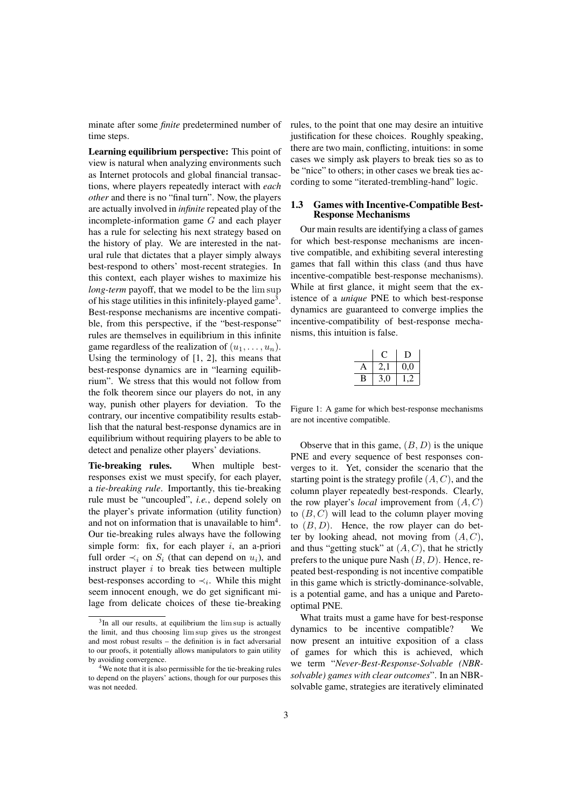minate after some *finite* predetermined number of time steps.

Learning equilibrium perspective: This point of view is natural when analyzing environments such as Internet protocols and global financial transactions, where players repeatedly interact with *each other* and there is no "final turn". Now, the players are actually involved in *infinite* repeated play of the incomplete-information game *G* and each player has a rule for selecting his next strategy based on the history of play. We are interested in the natural rule that dictates that a player simply always best-respond to others' most-recent strategies. In this context, each player wishes to maximize his *long-term* payoff, that we model to be the lim sup of his stage utilities in this infinitely-played game<sup>3</sup>. Best-response mechanisms are incentive compatible, from this perspective, if the "best-response" rules are themselves in equilibrium in this infinite game regardless of the realization of  $(u_1, \ldots, u_n)$ . Using the terminology of [1, 2], this means that best-response dynamics are in "learning equilibrium". We stress that this would not follow from the folk theorem since our players do not, in any way, punish other players for deviation. To the contrary, our incentive compatibility results establish that the natural best-response dynamics are in equilibrium without requiring players to be able to detect and penalize other players' deviations.

Tie-breaking rules. When multiple bestresponses exist we must specify, for each player, a *tie-breaking rule*. Importantly, this tie-breaking rule must be "uncoupled", *i.e.*, depend solely on the player's private information (utility function) and not on information that is unavailable to him<sup>4</sup>. Our tie-breaking rules always have the following simple form: fix, for each player *i*, an a-priori full order  $\prec_i$  on  $S_i$  (that can depend on  $u_i$ ), and instruct player *i* to break ties between multiple best-responses according to  $\prec_i$ . While this might seem innocent enough, we do get significant milage from delicate choices of these tie-breaking rules, to the point that one may desire an intuitive justification for these choices. Roughly speaking, there are two main, conflicting, intuitions: in some cases we simply ask players to break ties so as to be "nice" to others; in other cases we break ties according to some "iterated-trembling-hand" logic.

#### 1.3 Games with Incentive-Compatible Best-Response Mechanisms

Our main results are identifying a class of games for which best-response mechanisms are incentive compatible, and exhibiting several interesting games that fall within this class (and thus have incentive-compatible best-response mechanisms). While at first glance, it might seem that the existence of a *unique* PNE to which best-response dynamics are guaranteed to converge implies the incentive-compatibility of best-response mechanisms, this intuition is false.

|   |     | I)  |
|---|-----|-----|
| А | 2,  | 0,0 |
| B | 3,0 |     |

Figure 1: A game for which best-response mechanisms are not incentive compatible.

Observe that in this game, (*B, D*) is the unique PNE and every sequence of best responses converges to it. Yet, consider the scenario that the starting point is the strategy profile (*A, C*), and the column player repeatedly best-responds. Clearly, the row player's *local* improvement from (*A, C*) to (*B, C*) will lead to the column player moving to  $(B, D)$ . Hence, the row player can do better by looking ahead, not moving from (*A, C*), and thus "getting stuck" at (*A, C*), that he strictly prefers to the unique pure Nash (*B, D*). Hence, repeated best-responding is not incentive compatible in this game which is strictly-dominance-solvable, is a potential game, and has a unique and Paretooptimal PNE.

What traits must a game have for best-response dynamics to be incentive compatible? We now present an intuitive exposition of a class of games for which this is achieved, which we term "*Never-Best-Response-Solvable (NBRsolvable) games with clear outcomes*". In an NBRsolvable game, strategies are iteratively eliminated

<sup>&</sup>lt;sup>3</sup>In all our results, at equilibrium the lim sup is actually the limit, and thus choosing lim sup gives us the strongest and most robust results – the definition is in fact adversarial to our proofs, it potentially allows manipulators to gain utility by avoiding convergence.

<sup>4</sup>We note that it is also permissible for the tie-breaking rules to depend on the players' actions, though for our purposes this was not needed.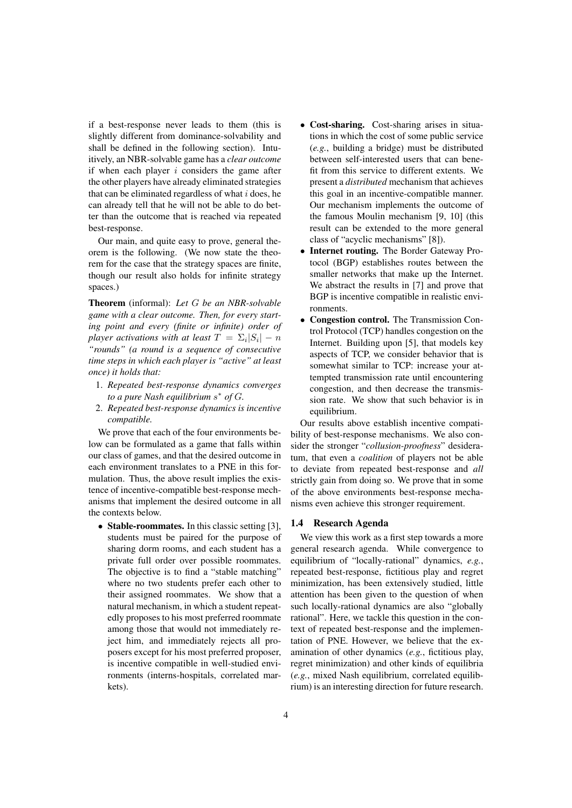if a best-response never leads to them (this is slightly different from dominance-solvability and shall be defined in the following section). Intuitively, an NBR-solvable game has a *clear outcome* if when each player *i* considers the game after the other players have already eliminated strategies that can be eliminated regardless of what *i* does, he can already tell that he will not be able to do better than the outcome that is reached via repeated best-response.

Our main, and quite easy to prove, general theorem is the following. (We now state the theorem for the case that the strategy spaces are finite, though our result also holds for infinite strategy spaces.)

Theorem (informal): *Let G be an NBR-solvable game with a clear outcome. Then, for every starting point and every (finite or infinite) order of player activations with at least*  $T = \sum_i |S_i| - n$ *"rounds" (a round is a sequence of consecutive time steps in which each player is "active" at least once) it holds that:*

- 1. *Repeated best-response dynamics converges to a pure Nash equilibrium s <sup>∗</sup> of G.*
- 2. *Repeated best-response dynamics is incentive compatible.*

We prove that each of the four environments below can be formulated as a game that falls within our class of games, and that the desired outcome in each environment translates to a PNE in this formulation. Thus, the above result implies the existence of incentive-compatible best-response mechanisms that implement the desired outcome in all the contexts below.

• Stable-roommates. In this classic setting [3], students must be paired for the purpose of sharing dorm rooms, and each student has a private full order over possible roommates. The objective is to find a "stable matching" where no two students prefer each other to their assigned roommates. We show that a natural mechanism, in which a student repeatedly proposes to his most preferred roommate among those that would not immediately reject him, and immediately rejects all proposers except for his most preferred proposer, is incentive compatible in well-studied environments (interns-hospitals, correlated markets).

- *•* Cost-sharing. Cost-sharing arises in situations in which the cost of some public service (*e.g.*, building a bridge) must be distributed between self-interested users that can benefit from this service to different extents. We present a *distributed* mechanism that achieves this goal in an incentive-compatible manner. Our mechanism implements the outcome of the famous Moulin mechanism [9, 10] (this result can be extended to the more general class of "acyclic mechanisms" [8]).
- *•* Internet routing. The Border Gateway Protocol (BGP) establishes routes between the smaller networks that make up the Internet. We abstract the results in [7] and prove that BGP is incentive compatible in realistic environments.
- *•* Congestion control. The Transmission Control Protocol (TCP) handles congestion on the Internet. Building upon [5], that models key aspects of TCP, we consider behavior that is somewhat similar to TCP: increase your attempted transmission rate until encountering congestion, and then decrease the transmission rate. We show that such behavior is in equilibrium.

Our results above establish incentive compatibility of best-response mechanisms. We also consider the stronger "*collusion-proofness*" desideratum, that even a *coalition* of players not be able to deviate from repeated best-response and *all* strictly gain from doing so. We prove that in some of the above environments best-response mechanisms even achieve this stronger requirement.

#### 1.4 Research Agenda

We view this work as a first step towards a more general research agenda. While convergence to equilibrium of "locally-rational" dynamics, *e.g.*, repeated best-response, fictitious play and regret minimization, has been extensively studied, little attention has been given to the question of when such locally-rational dynamics are also "globally rational". Here, we tackle this question in the context of repeated best-response and the implementation of PNE. However, we believe that the examination of other dynamics (*e.g.*, fictitious play, regret minimization) and other kinds of equilibria (*e.g.*, mixed Nash equilibrium, correlated equilibrium) is an interesting direction for future research.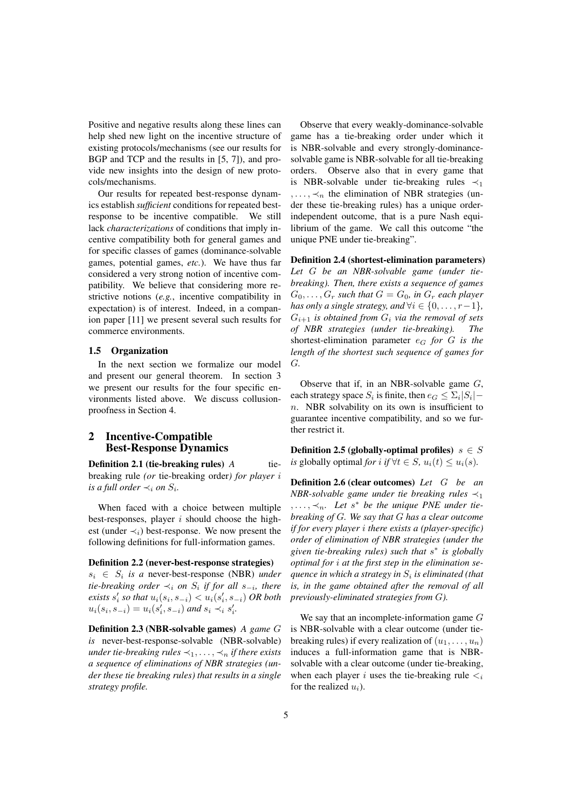Positive and negative results along these lines can help shed new light on the incentive structure of existing protocols/mechanisms (see our results for BGP and TCP and the results in [5, 7]), and provide new insights into the design of new protocols/mechanisms.

Our results for repeated best-response dynamics establish *sufficient* conditions for repeated bestresponse to be incentive compatible. We still lack *characterizations* of conditions that imply incentive compatibility both for general games and for specific classes of games (dominance-solvable games, potential games, *etc.*). We have thus far considered a very strong notion of incentive compatibility. We believe that considering more restrictive notions (*e.g.*, incentive compatibility in expectation) is of interest. Indeed, in a companion paper [11] we present several such results for commerce environments.

# 1.5 Organization

In the next section we formalize our model and present our general theorem. In section 3 we present our results for the four specific environments listed above. We discuss collusionproofness in Section 4.

# 2 Incentive-Compatible Best-Response Dynamics

**Definition 2.1 (tie-breaking rules)** *A* tiebreaking rule *(or* tie-breaking order*) for player i is a full order*  $\prec_i$  *on*  $S_i$ *.* 

When faced with a choice between multiple best-responses, player *i* should choose the highest (under  $\prec_i$ ) best-response. We now present the following definitions for full-information games.

# Definition 2.2 (never-best-response strategies)  $s_i \in S_i$  *is a* never-best-response (NBR) *under tie-breaking order ≺<sup>i</sup> on S<sup>i</sup> if for all s−<sup>i</sup> , there <i>ists*  $s'_{i}$  *so that*  $u_{i}(s_{i}, s_{-i}) < u_{i}(s'_{i}, s_{-i})$  *OR both*  $u_i(s_i, s_{-i}) = u_i(s'_i, s_{-i})$  and  $s_i \prec_i s'_i$ .

Definition 2.3 (NBR-solvable games) *A game G is* never-best-response-solvable (NBR-solvable) *under tie-breaking rules*  $\prec_1, \ldots, \prec_n$  *if there exists a sequence of eliminations of NBR strategies (under these tie breaking rules) that results in a single strategy profile.*

Observe that every weakly-dominance-solvable game has a tie-breaking order under which it is NBR-solvable and every strongly-dominancesolvable game is NBR-solvable for all tie-breaking orders. Observe also that in every game that is NBR-solvable under tie-breaking rules *≺*<sup>1</sup>  $, \ldots, \prec_n$  the elimination of NBR strategies (under these tie-breaking rules) has a unique orderindependent outcome, that is a pure Nash equilibrium of the game. We call this outcome "the unique PNE under tie-breaking".

Definition 2.4 (shortest-elimination parameters) *Let G be an NBR-solvable game (under tiebreaking). Then, there exists a sequence of games*  $G_0, \ldots, G_r$  *such that*  $G = G_0$ *, in*  $G_r$  *each player has only a single strategy, and*  $\forall i \in \{0, \ldots, r-1\}$ *,*  $G_{i+1}$  *is obtained from*  $G_i$  *via the removal of sets of NBR strategies (under tie-breaking). The* shortest-elimination parameter *e<sup>G</sup> for G is the length of the shortest such sequence of games for G.*

Observe that if, in an NBR-solvable game *G*, each strategy space  $S_i$  is finite, then  $e_G \leq \sum_i |S_i|$ *n*. NBR solvability on its own is insufficient to guarantee incentive compatibility, and so we further restrict it.

**Definition 2.5 (globally-optimal profiles)**  $s \in S$ *is* globally optimal *for i if*  $∀t ∈ S$ *,*  $u_i(t) ≤ u_i(s)$ *.* 

Definition 2.6 (clear outcomes) *Let G be an NBR-solvable game under tie breaking rules ≺*<sup>1</sup>  $, \ldots, \prec_n$ . Let  $s^*$  be the unique PNE under tie*breaking of G. We say that G has a* c*lear outcome if for every player i there exists a (player-specific) order of elimination of NBR strategies (under the given tie-breaking rules) such that s ∗ is globally optimal for i at the first step in the elimination sequence in which a strategy in S<sup>i</sup> is eliminated (that is, in the game obtained after the removal of all previously-eliminated strategies from G).*

We say that an incomplete-information game *G* is NBR-solvable with a clear outcome (under tiebreaking rules) if every realization of  $(u_1, \ldots, u_n)$ induces a full-information game that is NBRsolvable with a clear outcome (under tie-breaking, when each player *i* uses the tie-breaking rule  $\lt_i$ for the realized *ui*).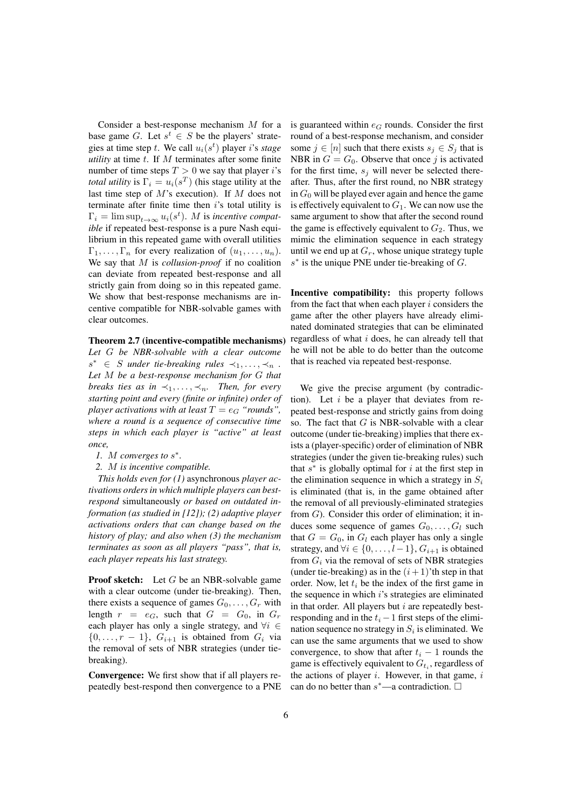Consider a best-response mechanism *M* for a base game *G*. Let  $s^t \in S$  be the players' strategies at time step *t*. We call  $u_i(s^t)$  player *i*'s *stage utility* at time *t*. If *M* terminates after some finite number of time steps  $T > 0$  we say that player *i*'s *total utility* is  $\Gamma_i = u_i(s^T)$  (his stage utility at the last time step of *M*'s execution). If *M* does not terminate after finite time then *i*'s total utility is  $\Gamma_i = \limsup_{t \to \infty} u_i(s^t)$ . *M* is *incentive compatible* if repeated best-response is a pure Nash equilibrium in this repeated game with overall utilities  $\Gamma_1, \ldots, \Gamma_n$  for every realization of  $(u_1, \ldots, u_n)$ . We say that *M* is *collusion-proof* if no coalition can deviate from repeated best-response and all strictly gain from doing so in this repeated game. We show that best-response mechanisms are incentive compatible for NBR-solvable games with clear outcomes.

Theorem 2.7 (incentive-compatible mechanisms)

*Let G be NBR-solvable with a clear outcome s*<sup>\*</sup> ∈ *S under tie-breaking rules*  $\prec_1, \ldots, \prec_n$ . *Let M be a best-response mechanism for G that breaks ties as in*  $\prec_1, \ldots, \prec_n$ *. Then, for every starting point and every (finite or infinite) order of player activations with at least*  $T = e_G$  "*rounds*", *where a round is a sequence of consecutive time steps in which each player is "active" at least once,*

*1. M converges to s ∗ .*

*2. M is incentive compatible.*

*This holds even for (1)* asynchronous *player activations orders in which multiple players can bestrespond* simultaneously *or based on outdated information (as studied in [12]); (2) adaptive player activations orders that can change based on the history of play; and also when (3) the mechanism terminates as soon as all players "pass", that is, each player repeats his last strategy.*

**Proof sketch:** Let *G* be an NBR-solvable game with a clear outcome (under tie-breaking). Then, there exists a sequence of games  $G_0, \ldots, G_r$  with length  $r = e_G$ , such that  $G = G_0$ , in  $G_r$ each player has only a single strategy, and *∀i ∈*  $\{0, \ldots, r-1\}$ ,  $G_{i+1}$  is obtained from  $G_i$  via the removal of sets of NBR strategies (under tiebreaking).

Convergence: We first show that if all players repeatedly best-respond then convergence to a PNE is guaranteed within  $e_G$  rounds. Consider the first round of a best-response mechanism, and consider some  $j \in [n]$  such that there exists  $s_j \in S_j$  that is NBR in  $G = G_0$ . Observe that once *j* is activated for the first time,  $s_j$  will never be selected thereafter. Thus, after the first round, no NBR strategy in  $G_0$  will be played ever again and hence the game is effectively equivalent to  $G_1$ . We can now use the same argument to show that after the second round the game is effectively equivalent to  $G_2$ . Thus, we mimic the elimination sequence in each strategy until we end up at  $G_r$ , whose unique strategy tuple *s ∗* is the unique PNE under tie-breaking of *G*.

Incentive compatibility: this property follows from the fact that when each player *i* considers the game after the other players have already eliminated dominated strategies that can be eliminated regardless of what *i* does, he can already tell that he will not be able to do better than the outcome that is reached via repeated best-response.

We give the precise argument (by contradiction). Let *i* be a player that deviates from repeated best-response and strictly gains from doing so. The fact that *G* is NBR-solvable with a clear outcome (under tie-breaking) implies that there exists a (player-specific) order of elimination of NBR strategies (under the given tie-breaking rules) such that  $s^*$  is globally optimal for  $i$  at the first step in the elimination sequence in which a strategy in  $S_i$ is eliminated (that is, in the game obtained after the removal of all previously-eliminated strategies from *G*). Consider this order of elimination; it induces some sequence of games  $G_0, \ldots, G_l$  such that  $G = G_0$ , in  $G_l$  each player has only a single strategy, and  $\forall i \in \{0, \ldots, l-1\}$ ,  $G_{i+1}$  is obtained from  $G_i$  via the removal of sets of NBR strategies (under tie-breaking) as in the  $(i + 1)$ 'th step in that order. Now, let *t<sup>i</sup>* be the index of the first game in the sequence in which *i*'s strategies are eliminated in that order. All players but *i* are repeatedly bestresponding and in the  $t_i - 1$  first steps of the elimination sequence no strategy in  $S_i$  is eliminated. We can use the same arguments that we used to show convergence, to show that after  $t_i - 1$  rounds the game is effectively equivalent to  $G_{t_i}$ , regardless of the actions of player *i*. However, in that game, *i* can do no better than  $s^*$ —a contradiction.  $\square$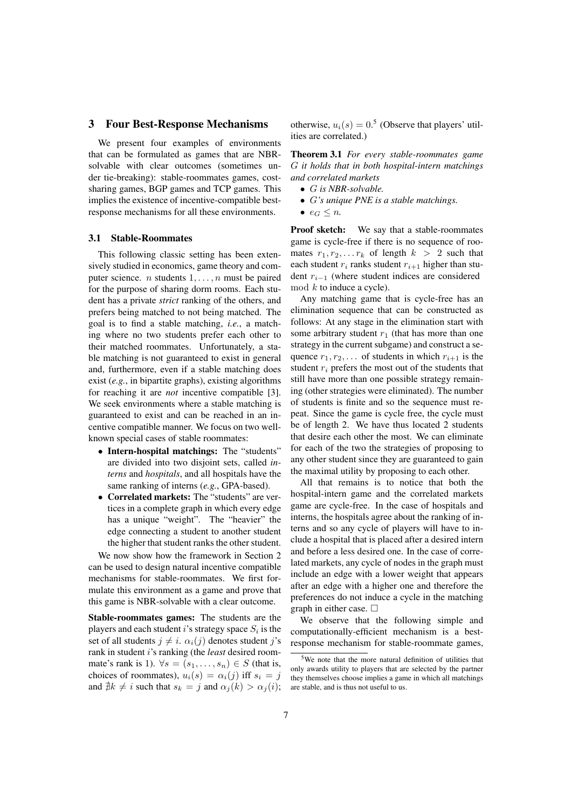#### 3 Four Best-Response Mechanisms

We present four examples of environments that can be formulated as games that are NBRsolvable with clear outcomes (sometimes under tie-breaking): stable-roommates games, costsharing games, BGP games and TCP games. This implies the existence of incentive-compatible bestresponse mechanisms for all these environments.

#### 3.1 Stable-Roommates

This following classic setting has been extensively studied in economics, game theory and computer science. *n* students 1*, . . . , n* must be paired for the purpose of sharing dorm rooms. Each student has a private *strict* ranking of the others, and prefers being matched to not being matched. The goal is to find a stable matching, *i.e.*, a matching where no two students prefer each other to their matched roommates. Unfortunately, a stable matching is not guaranteed to exist in general and, furthermore, even if a stable matching does exist (*e.g.*, in bipartite graphs), existing algorithms for reaching it are *not* incentive compatible [3]. We seek environments where a stable matching is guaranteed to exist and can be reached in an incentive compatible manner. We focus on two wellknown special cases of stable roommates:

- *•* Intern-hospital matchings: The "students" are divided into two disjoint sets, called *interns* and *hospitals*, and all hospitals have the same ranking of interns (*e.g.*, GPA-based).
- *•* Correlated markets: The "students" are vertices in a complete graph in which every edge has a unique "weight". The "heavier" the edge connecting a student to another student the higher that student ranks the other student.

We now show how the framework in Section 2 can be used to design natural incentive compatible mechanisms for stable-roommates. We first formulate this environment as a game and prove that this game is NBR-solvable with a clear outcome.

Stable-roommates games: The students are the players and each student  $i$ 's strategy space  $S_i$  is the set of all students  $j \neq i$ .  $\alpha_i(j)$  denotes student *j*'s rank in student *i*'s ranking (the *least* desired roommate's rank is 1).  $\forall s = (s_1, \ldots, s_n) \in S$  (that is, choices of roommates),  $u_i(s) = \alpha_i(j)$  iff  $s_i = j$ and  $\sharp k \neq i$  such that  $s_k = j$  and  $\alpha_j(k) > \alpha_j(i)$ ;

otherwise,  $u_i(s) = 0.5$  (Observe that players' utilities are correlated.)

Theorem 3.1 *For every stable-roommates game G it holds that in both hospital-intern matchings and correlated markets*

- *• G is NBR-solvable.*
- *• G's unique PNE is a stable matchings.*
- $e_G \leq n$ .

Proof sketch: We say that a stable-roommates game is cycle-free if there is no sequence of roomates  $r_1, r_2, \ldots r_k$  of length  $k > 2$  such that each student  $r_i$  ranks student  $r_{i+1}$  higher than student *r<sup>i</sup>−*<sup>1</sup> (where student indices are considered mod *k* to induce a cycle).

Any matching game that is cycle-free has an elimination sequence that can be constructed as follows: At any stage in the elimination start with some arbitrary student  $r_1$  (that has more than one strategy in the current subgame) and construct a sequence  $r_1, r_2, \ldots$  of students in which  $r_{i+1}$  is the student *r<sup>i</sup>* prefers the most out of the students that still have more than one possible strategy remaining (other strategies were eliminated). The number of students is finite and so the sequence must repeat. Since the game is cycle free, the cycle must be of length 2. We have thus located 2 students that desire each other the most. We can eliminate for each of the two the strategies of proposing to any other student since they are guaranteed to gain the maximal utility by proposing to each other.

All that remains is to notice that both the hospital-intern game and the correlated markets game are cycle-free. In the case of hospitals and interns, the hospitals agree about the ranking of interns and so any cycle of players will have to include a hospital that is placed after a desired intern and before a less desired one. In the case of correlated markets, any cycle of nodes in the graph must include an edge with a lower weight that appears after an edge with a higher one and therefore the preferences do not induce a cycle in the matching graph in either case.  $\square$ 

We observe that the following simple and computationally-efficient mechanism is a bestresponse mechanism for stable-roommate games,

<sup>5</sup>We note that the more natural definition of utilities that only awards utility to players that are selected by the partner they themselves choose implies a game in which all matchings are stable, and is thus not useful to us.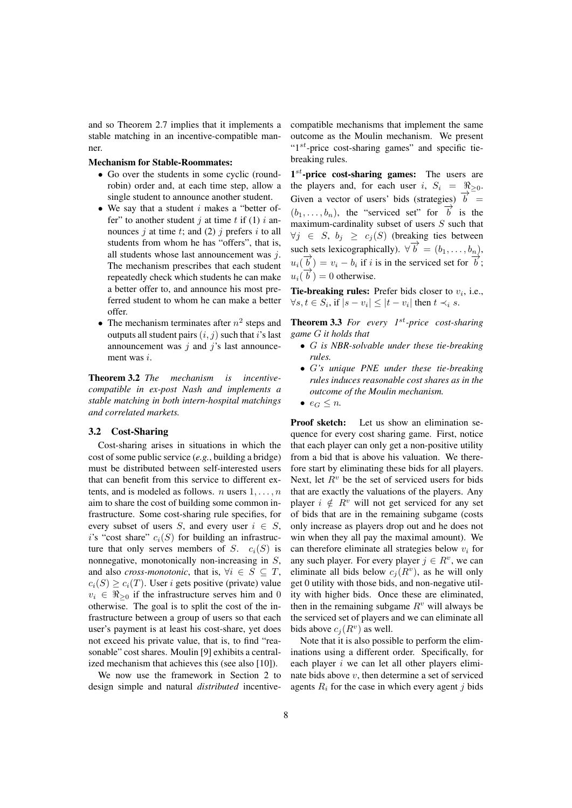and so Theorem 2.7 implies that it implements a stable matching in an incentive-compatible manner.

# Mechanism for Stable-Roommates:

- Go over the students in some cyclic (roundrobin) order and, at each time step, allow a single student to announce another student.
- *•* We say that a student *i* makes a "better offer" to another student  $j$  at time  $t$  if (1)  $i$  announces  $j$  at time  $t$ ; and (2)  $j$  prefers  $i$  to all students from whom he has "offers", that is, all students whose last announcement was *j*. The mechanism prescribes that each student repeatedly check which students he can make a better offer to, and announce his most preferred student to whom he can make a better offer.
- The mechanism terminates after  $n^2$  steps and outputs all student pairs (*i, j*) such that *i*'s last announcement was *j* and *j*'s last announcement was *i*.

Theorem 3.2 *The mechanism is incentivecompatible in ex-post Nash and implements a stable matching in both intern-hospital matchings and correlated markets.*

#### 3.2 Cost-Sharing

Cost-sharing arises in situations in which the cost of some public service (*e.g.*, building a bridge) must be distributed between self-interested users that can benefit from this service to different extents, and is modeled as follows. *n* users 1*, . . . , n* aim to share the cost of building some common infrastructure. Some cost-sharing rule specifies, for every subset of users *S*, and every user  $i \in S$ , *i*'s "cost share"  $c_i(S)$  for building an infrastructure that only serves members of *S*.  $c_i(S)$  is nonnegative, monotonically non-increasing in *S*, and also *cross-monotonic*, that is,  $\forall i \in S \subseteq T$ ,  $c_i(S) \geq c_i(T)$ . User *i* gets positive (private) value  $v_i \in \Re_{\geq 0}$  if the infrastructure serves him and 0 otherwise. The goal is to split the cost of the infrastructure between a group of users so that each user's payment is at least his cost-share, yet does not exceed his private value, that is, to find "reasonable" cost shares. Moulin [9] exhibits a centralized mechanism that achieves this (see also [10]).

We now use the framework in Section 2 to design simple and natural *distributed* incentivecompatible mechanisms that implement the same outcome as the Moulin mechanism. We present "1*st*-price cost-sharing games" and specific tiebreaking rules.

1<sup>st</sup>-price cost-sharing games: The users are the players and, for each user *i*,  $S_i = \Re_{\geq 0}$ . Given a vector of users' bids (strategies)  $\overrightarrow{b}$  =  $(b_1, \ldots, b_n)$ , the "serviced set" for  $\overrightarrow{b}$  is the maximum-cardinality subset of users *S* such that  $\forall j$  ∈ *S*,  $b_j$  ≥  $c_j(S)$  (breaking ties between such sets lexicographically).  $\forall \vec{b} = (b_1, \ldots, b_n)$ ,  $u_i(\vec{b}) = v_i - b_i$  if *i* is in the serviced set for  $\vec{b}$ ;  $u_i(\overrightarrow{b}) = 0$  otherwise.

**Tie-breaking rules:** Prefer bids closer to  $v_i$ , i.e., *∀s*, *t*  $\in$  *S<sub>i</sub>*, if  $|s - v_i|$   $\leq$   $|t - v_i|$  then  $t \prec_i s$ .

Theorem 3.3 *For every 1st-price cost-sharing game G it holds that*

- *• G is NBR-solvable under these tie-breaking rules.*
- *• G's unique PNE under these tie-breaking rules induces reasonable cost shares as in the outcome of the Moulin mechanism.*
- $e_G \leq n$ .

Proof sketch: Let us show an elimination sequence for every cost sharing game. First, notice that each player can only get a non-positive utility from a bid that is above his valuation. We therefore start by eliminating these bids for all players. Next, let  $R<sup>v</sup>$  be the set of serviced users for bids that are exactly the valuations of the players. Any player  $i \notin R^v$  will not get serviced for any set of bids that are in the remaining subgame (costs only increase as players drop out and he does not win when they all pay the maximal amount). We can therefore eliminate all strategies below *v<sup>i</sup>* for any such player. For every player  $j \in R^v$ , we can eliminate all bids below  $c_j(R^v)$ , as he will only get 0 utility with those bids, and non-negative utility with higher bids. Once these are eliminated, then in the remaining subgame  $R<sup>v</sup>$  will always be the serviced set of players and we can eliminate all bids above  $c_j(R^v)$  as well.

Note that it is also possible to perform the eliminations using a different order. Specifically, for each player *i* we can let all other players eliminate bids above *v*, then determine a set of serviced agents  $R_i$  for the case in which every agent *j* bids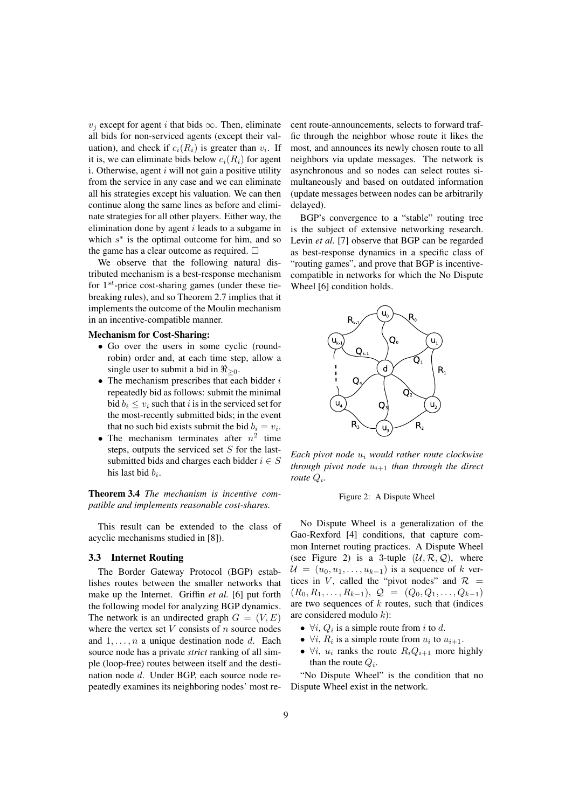*v*<sup>*j*</sup> except for agent *i* that bids  $\infty$ . Then, eliminate all bids for non-serviced agents (except their valuation), and check if  $c_i(R_i)$  is greater than  $v_i$ . If it is, we can eliminate bids below  $c_i(R_i)$  for agent i. Otherwise, agent *i* will not gain a positive utility from the service in any case and we can eliminate all his strategies except his valuation. We can then continue along the same lines as before and eliminate strategies for all other players. Either way, the elimination done by agent *i* leads to a subgame in which *s ∗* is the optimal outcome for him, and so the game has a clear outcome as required.  $\square$ 

We observe that the following natural distributed mechanism is a best-response mechanism for 1*st*-price cost-sharing games (under these tiebreaking rules), and so Theorem 2.7 implies that it implements the outcome of the Moulin mechanism in an incentive-compatible manner.

#### Mechanism for Cost-Sharing:

- *•* Go over the users in some cyclic (roundrobin) order and, at each time step, allow a single user to submit a bid in *ℜ≥*<sup>0</sup>.
- *•* The mechanism prescribes that each bidder *i* repeatedly bid as follows: submit the minimal bid  $b_i \le v_i$  such that *i* is in the serviced set for the most-recently submitted bids; in the event that no such bid exists submit the bid  $b_i = v_i$ .
- The mechanism terminates after  $n^2$  time steps, outputs the serviced set *S* for the lastsubmitted bids and charges each bidder  $i \in S$ his last bid *b<sup>i</sup>* .

Theorem 3.4 *The mechanism is incentive compatible and implements reasonable cost-shares.*

This result can be extended to the class of acyclic mechanisms studied in [8]).

#### 3.3 Internet Routing

The Border Gateway Protocol (BGP) establishes routes between the smaller networks that make up the Internet. Griffin *et al.* [6] put forth the following model for analyzing BGP dynamics. The network is an undirected graph  $G = (V, E)$ where the vertex set *V* consists of *n* source nodes and 1*, . . . , n* a unique destination node *d*. Each source node has a private *strict* ranking of all simple (loop-free) routes between itself and the destination node *d*. Under BGP, each source node repeatedly examines its neighboring nodes' most recent route-announcements, selects to forward traffic through the neighbor whose route it likes the most, and announces its newly chosen route to all neighbors via update messages. The network is asynchronous and so nodes can select routes simultaneously and based on outdated information (update messages between nodes can be arbitrarily delayed).

BGP's convergence to a "stable" routing tree is the subject of extensive networking research. Levin *et al.* [7] observe that BGP can be regarded as best-response dynamics in a specific class of "routing games", and prove that BGP is incentivecompatible in networks for which the No Dispute Wheel [6] condition holds.



*Each pivot node u<sup>i</sup> would rather route clockwise through pivot node*  $u_{i+1}$  *than through the direct route Q<sup>i</sup> .*

#### Figure 2: A Dispute Wheel

No Dispute Wheel is a generalization of the Gao-Rexford [4] conditions, that capture common Internet routing practices. A Dispute Wheel (see Figure 2) is a 3-tuple  $(\mathcal{U}, \mathcal{R}, \mathcal{Q})$ , where  $U = (u_0, u_1, \ldots, u_{k-1})$  is a sequence of *k* vertices in *V*, called the "pivot nodes" and  $\mathcal{R}$  =  $(R_0, R_1, \ldots, R_{k-1}), Q = (Q_0, Q_1, \ldots, Q_{k-1})$ are two sequences of *k* routes, such that (indices are considered modulo *k*):

- $\forall i, Q_i$  is a simple route from *i* to *d*.
- $\forall i, R_i$  is a simple route from  $u_i$  to  $u_{i+1}$ .
- $\forall i, u_i$  ranks the route  $R_i Q_{i+1}$  more highly than the route *Q<sup>i</sup>* .

"No Dispute Wheel" is the condition that no Dispute Wheel exist in the network.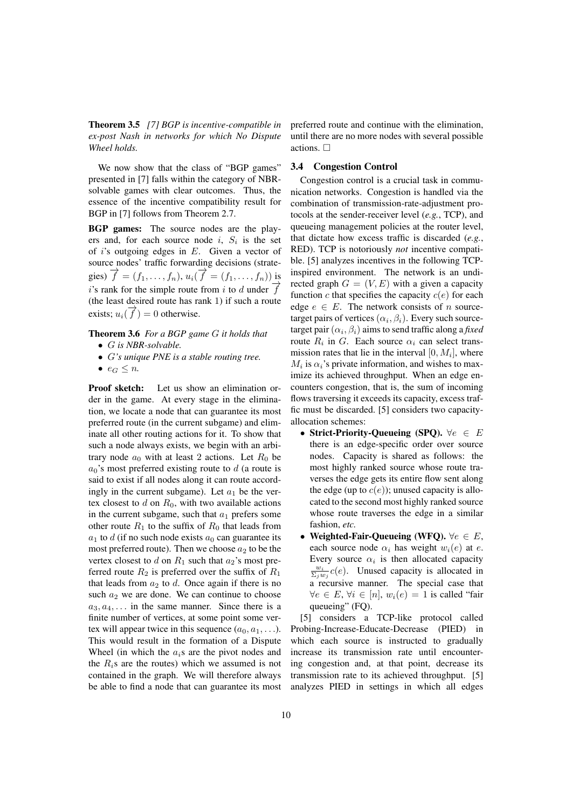Theorem 3.5 *[7] BGP is incentive-compatible in ex-post Nash in networks for which No Dispute Wheel holds.*

We now show that the class of "BGP games" presented in [7] falls within the category of NBRsolvable games with clear outcomes. Thus, the essence of the incentive compatibility result for BGP in [7] follows from Theorem 2.7.

BGP games: The source nodes are the players and, for each source node  $i$ ,  $S_i$  is the set of *i*'s outgoing edges in *E*. Given a vector of source nodes' traffic forwarding decisions (strate- $\vec{f} = (f_1, \ldots, f_n), u_i(\vec{f}) = (f_1, \ldots, f_n))$  is *i*'s rank for the simple route from *i* to *d* under  $\overrightarrow{f}$ (the least desired route has rank 1) if such a route exists;  $u_i(\vec{f}) = 0$  otherwise.

### Theorem 3.6 *For a BGP game G it holds that*

- *• G is NBR-solvable.*
- *• G's unique PNE is a stable routing tree.*
- $e_G \leq n$ .

Proof sketch: Let us show an elimination order in the game. At every stage in the elimination, we locate a node that can guarantee its most preferred route (in the current subgame) and eliminate all other routing actions for it. To show that such a node always exists, we begin with an arbitrary node  $a_0$  with at least 2 actions. Let  $R_0$  be  $a_0$ 's most preferred existing route to *d* (a route is said to exist if all nodes along it can route accordingly in the current subgame). Let  $a_1$  be the vertex closest to  $d$  on  $R_0$ , with two available actions in the current subgame, such that  $a_1$  prefers some other route  $R_1$  to the suffix of  $R_0$  that leads from  $a_1$  to *d* (if no such node exists  $a_0$  can guarantee its most preferred route). Then we choose  $a_2$  to be the vertex closest to  $d$  on  $R_1$  such that  $a_2$ 's most preferred route  $R_2$  is preferred over the suffix of  $R_1$ that leads from  $a_2$  to  $d$ . Once again if there is no such  $a_2$  we are done. We can continue to choose  $a_3, a_4, \ldots$  in the same manner. Since there is a finite number of vertices, at some point some vertex will appear twice in this sequence  $(a_0, a_1, \ldots)$ . This would result in the formation of a Dispute Wheel (in which the *ai*s are the pivot nodes and the  $R_i$ s are the routes) which we assumed is not contained in the graph. We will therefore always be able to find a node that can guarantee its most preferred route and continue with the elimination, until there are no more nodes with several possible actions.  $\square$ 

#### 3.4 Congestion Control

Congestion control is a crucial task in communication networks. Congestion is handled via the combination of transmission-rate-adjustment protocols at the sender-receiver level (*e.g.*, TCP), and queueing management policies at the router level, that dictate how excess traffic is discarded (*e.g.*, RED). TCP is notoriously *not* incentive compatible. [5] analyzes incentives in the following TCPinspired environment. The network is an undirected graph  $G = (V, E)$  with a given a capacity function  $c$  that specifies the capacity  $c(e)$  for each edge  $e \in E$ . The network consists of *n* sourcetarget pairs of vertices  $(\alpha_i, \beta_i)$ . Every such sourcetarget pair  $(\alpha_i, \beta_i)$  aims to send traffic along a *fixed* route  $R_i$  in  $G$ . Each source  $\alpha_i$  can select transmission rates that lie in the interval  $[0, M_i]$ , where  $M_i$  is  $\alpha_i$ 's private information, and wishes to maximize its achieved throughput. When an edge encounters congestion, that is, the sum of incoming flows traversing it exceeds its capacity, excess traffic must be discarded. [5] considers two capacityallocation schemes:

- *•* Strict-Priority-Queueing (SPQ). *∀e ∈ E* there is an edge-specific order over source nodes. Capacity is shared as follows: the most highly ranked source whose route traverses the edge gets its entire flow sent along the edge (up to  $c(e)$ ); unused capacity is allocated to the second most highly ranked source whose route traverses the edge in a similar fashion, *etc.*
- *•* Weighted-Fair-Queueing (WFQ). *∀e ∈ E*, each source node  $\alpha_i$  has weight  $w_i(e)$  at *e*. Every source  $\alpha_i$  is then allocated capacity  $\frac{w_i}{\Sigma_j w_j} c(e)$ . Unused capacity is allocated in  $a^T$  recursive manner. The special case that  $∀e ∈ E, ∀i ∈ [n], w_i(e) = 1$  is called "fair queueing" (FO).

[5] considers a TCP-like protocol called Probing-Increase-Educate-Decrease (PIED) in which each source is instructed to gradually increase its transmission rate until encountering congestion and, at that point, decrease its transmission rate to its achieved throughput. [5] analyzes PIED in settings in which all edges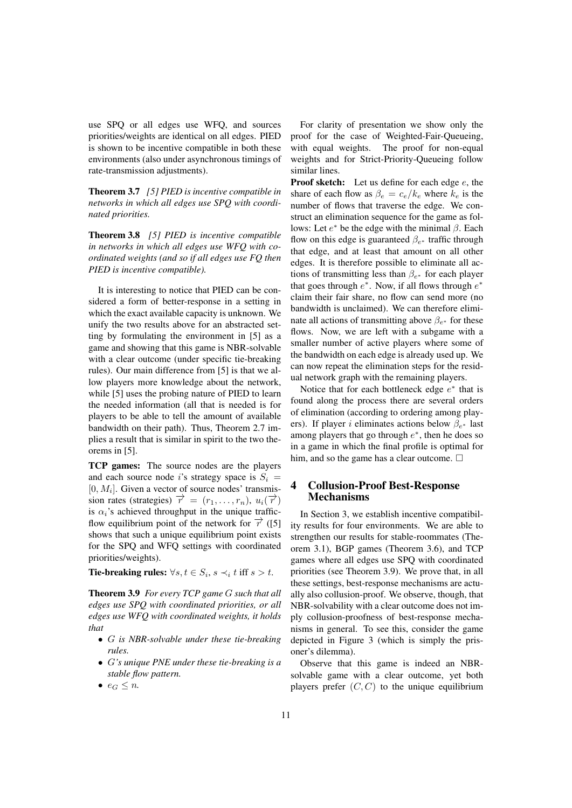use SPQ or all edges use WFQ, and sources priorities/weights are identical on all edges. PIED is shown to be incentive compatible in both these environments (also under asynchronous timings of rate-transmission adjustments).

Theorem 3.7 *[5] PIED is incentive compatible in networks in which all edges use SPQ with coordinated priorities.*

Theorem 3.8 *[5] PIED is incentive compatible in networks in which all edges use WFQ with coordinated weights (and so if all edges use FQ then PIED is incentive compatible).*

It is interesting to notice that PIED can be considered a form of better-response in a setting in which the exact available capacity is unknown. We unify the two results above for an abstracted setting by formulating the environment in [5] as a game and showing that this game is NBR-solvable with a clear outcome (under specific tie-breaking rules). Our main difference from [5] is that we allow players more knowledge about the network, while [5] uses the probing nature of PIED to learn the needed information (all that is needed is for players to be able to tell the amount of available bandwidth on their path). Thus, Theorem 2.7 implies a result that is similar in spirit to the two theorems in [5].

TCP games: The source nodes are the players and each source node *i*'s strategy space is  $S_i$  =  $[0, M_i]$ . Given a vector of source nodes' transmission rates (strategies)  $\overrightarrow{r} = (r_1, \ldots, r_n), u_i(\overrightarrow{r})$ is  $\alpha_i$ 's achieved throughput in the unique trafficflow equilibrium point of the network for *−→r* ([5] shows that such a unique equilibrium point exists for the SPQ and WFQ settings with coordinated priorities/weights).

Tie-breaking rules:  $\forall s, t \in S_i$ ,  $s \prec_i t$  iff  $s > t$ .

Theorem 3.9 *For every TCP game G such that all edges use SPQ with coordinated priorities, or all edges use WFQ with coordinated weights, it holds that*

- *• G is NBR-solvable under these tie-breaking rules.*
- *• G's unique PNE under these tie-breaking is a stable flow pattern.*
- $e_G \leq n$ .

For clarity of presentation we show only the proof for the case of Weighted-Fair-Queueing, with equal weights. The proof for non-equal weights and for Strict-Priority-Queueing follow similar lines.

Proof sketch: Let us define for each edge *e*, the share of each flow as  $\beta_e = c_e/k_e$  where  $k_e$  is the number of flows that traverse the edge. We construct an elimination sequence for the game as follows: Let *e <sup>∗</sup>* be the edge with the minimal *β*. Each flow on this edge is guaranteed *β<sup>e</sup> <sup>∗</sup>* traffic through that edge, and at least that amount on all other edges. It is therefore possible to eliminate all actions of transmitting less than *β<sup>e</sup> <sup>∗</sup>* for each player that goes through *e ∗* . Now, if all flows through *e ∗* claim their fair share, no flow can send more (no bandwidth is unclaimed). We can therefore eliminate all actions of transmitting above *β<sup>e</sup> <sup>∗</sup>* for these flows. Now, we are left with a subgame with a smaller number of active players where some of the bandwidth on each edge is already used up. We can now repeat the elimination steps for the residual network graph with the remaining players.

Notice that for each bottleneck edge *e ∗* that is found along the process there are several orders of elimination (according to ordering among players). If player *i* eliminates actions below *β<sup>e</sup> <sup>∗</sup>* last among players that go through *e ∗* , then he does so in a game in which the final profile is optimal for him, and so the game has a clear outcome.  $\Box$ 

# 4 Collusion-Proof Best-Response Mechanisms

In Section 3, we establish incentive compatibility results for four environments. We are able to strengthen our results for stable-roommates (Theorem 3.1), BGP games (Theorem 3.6), and TCP games where all edges use SPQ with coordinated priorities (see Theorem 3.9). We prove that, in all these settings, best-response mechanisms are actually also collusion-proof. We observe, though, that NBR-solvability with a clear outcome does not imply collusion-proofness of best-response mechanisms in general. To see this, consider the game depicted in Figure 3 (which is simply the prisoner's dilemma).

Observe that this game is indeed an NBRsolvable game with a clear outcome, yet both players prefer  $(C, C)$  to the unique equilibrium